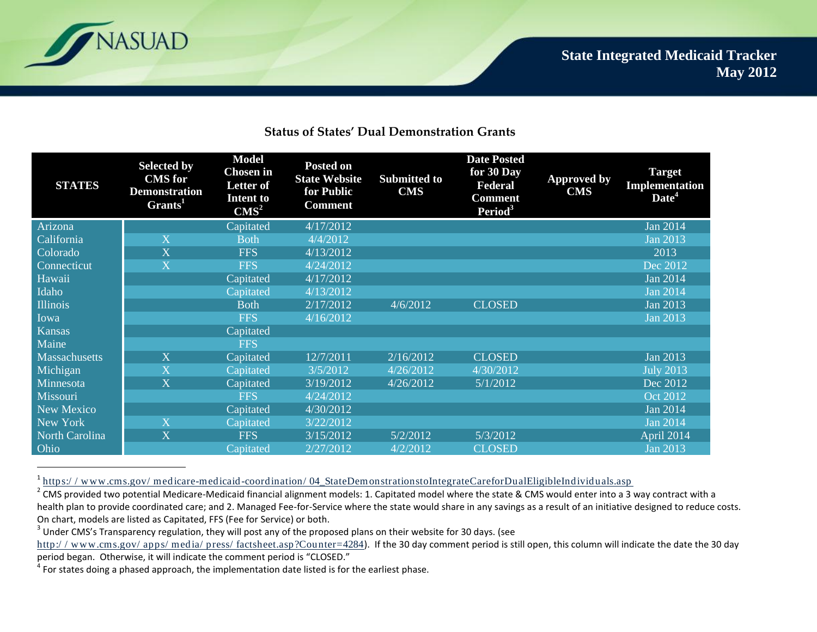

 $\overline{a}$ 

## **Status of States' Dual Demonstration Grants**

| <b>STATES</b>        | <b>Selected by</b><br><b>CMS</b> for<br><b>Demonstration</b><br>Grants <sup>1</sup> | <b>Model</b><br><b>Chosen in</b><br><b>Letter of</b><br><b>Intent to</b><br>CMS <sup>2</sup> | <b>Posted on</b><br><b>State Website</b><br>for Public<br><b>Comment</b> | <b>Submitted to</b><br>$\mathbf{CMS}$ | <b>Date Posted</b><br>for 30 Day<br>Federal<br><b>Comment</b><br>Period <sup>3</sup> | <b>Approved by</b><br><b>CMS</b> | <b>Target</b><br>Implementation<br>Date <sup>4</sup> |
|----------------------|-------------------------------------------------------------------------------------|----------------------------------------------------------------------------------------------|--------------------------------------------------------------------------|---------------------------------------|--------------------------------------------------------------------------------------|----------------------------------|------------------------------------------------------|
| Arizona              |                                                                                     | Capitated                                                                                    | 4/17/2012                                                                |                                       |                                                                                      |                                  | <b>Jan 2014</b>                                      |
| California           | $\overline{\mathbf{X}}$                                                             | <b>Both</b>                                                                                  | 4/4/2012                                                                 |                                       |                                                                                      |                                  | <b>Jan 2013</b>                                      |
| Colorado             | $\overline{\mathbf{X}}$                                                             | <b>FFS</b>                                                                                   | 4/13/2012                                                                |                                       |                                                                                      |                                  | 2013                                                 |
| Connecticut          | $\overline{X}$                                                                      | <b>FFS</b>                                                                                   | 4/24/2012                                                                |                                       |                                                                                      |                                  | Dec 2012                                             |
| Hawaii               |                                                                                     | Capitated                                                                                    | 4/17/2012                                                                |                                       |                                                                                      |                                  | <b>Jan 2014</b>                                      |
| Idaho                |                                                                                     | Capitated                                                                                    | 4/13/2012                                                                |                                       |                                                                                      |                                  | <b>Jan 2014</b>                                      |
| <b>Illinois</b>      |                                                                                     | <b>Both</b>                                                                                  | 2/17/2012                                                                | 4/6/2012                              | <b>CLOSED</b>                                                                        |                                  | Jan 2013                                             |
| Iowa                 |                                                                                     | <b>FFS</b>                                                                                   | 4/16/2012                                                                |                                       |                                                                                      |                                  | <b>Jan 2013</b>                                      |
| <b>Kansas</b>        |                                                                                     | Capitated                                                                                    |                                                                          |                                       |                                                                                      |                                  |                                                      |
| Maine                |                                                                                     | <b>FFS</b>                                                                                   |                                                                          |                                       |                                                                                      |                                  |                                                      |
| <b>Massachusetts</b> | $\mathbf X$                                                                         | Capitated                                                                                    | 12/7/2011                                                                | 2/16/2012                             | <b>CLOSED</b>                                                                        |                                  | <b>Jan 2013</b>                                      |
| Michigan             | $\overline{\mathbf{X}}$                                                             | Capitated                                                                                    | 3/5/2012                                                                 | 4/26/2012                             | 4/30/2012                                                                            |                                  | <b>July 2013</b>                                     |
| Minnesota            | $\overline{\mathbf{X}}$                                                             | Capitated                                                                                    | 3/19/2012                                                                | 4/26/2012                             | 5/1/2012                                                                             |                                  | Dec 2012                                             |
| Missouri             |                                                                                     | <b>FFS</b>                                                                                   | 4/24/2012                                                                |                                       |                                                                                      |                                  | <b>Oct 2012</b>                                      |
| New Mexico           |                                                                                     | Capitated                                                                                    | 4/30/2012                                                                |                                       |                                                                                      |                                  | <b>Jan 2014</b>                                      |
| New York             | $\mathbf X$                                                                         | Capitated                                                                                    | 3/22/2012                                                                |                                       |                                                                                      |                                  | <b>Jan 2014</b>                                      |
| North Carolina       | X                                                                                   | <b>FFS</b>                                                                                   | 3/15/2012                                                                | 5/2/2012                              | 5/3/2012                                                                             |                                  | April 2014                                           |
| Ohio                 |                                                                                     | Capitated                                                                                    | 2/27/2012                                                                | 4/2/2012                              | <b>CLOSED</b>                                                                        |                                  | <b>Jan 2013</b>                                      |

<sup>1</sup>https://www.cms.gov/medicare-medicaid-coordination/04\_StateDemonstrationstoIntegrateCareforDualEligibleIndividuals.asp

<sup>&</sup>lt;sup>2</sup> CMS provided two potential Medicare-Medicaid financial alignment models: 1. Capitated model where the state & CMS would enter into a 3 way contract with a health plan to provide coordinated care; and 2. Managed Fee-for-Service where the state would share in any savings as a result of an initiative designed to reduce costs. On chart, models are listed as Capitated, FFS (Fee for Service) or both.

 $3$  Under CMS's Transparency regulation, they will post any of the proposed plans on their website for 30 days. (see

http://www.cms.gov/apps/media/press/factsheet.asp?Counter=4284). If the 30 day comment period is still open, this column will indicate the date the 30 day period began. Otherwise, it will indicate the comment period is "CLOSED."

 $<sup>4</sup>$  For states doing a phased approach, the implementation date listed is for the earliest phase.</sup>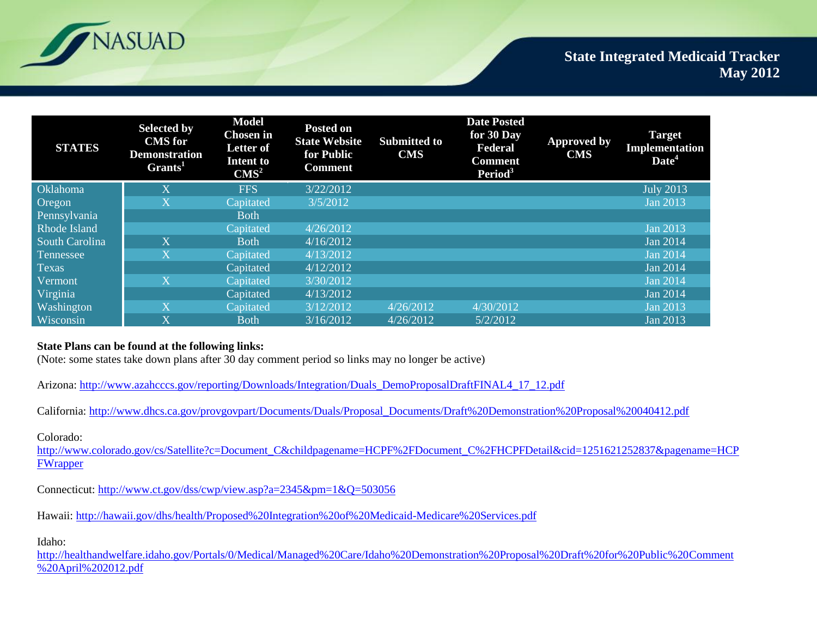

| <b>STATES</b>       | <b>Selected by</b><br><b>CMS</b> for<br><b>Demonstration</b><br>Grants <sup>1</sup> | <b>Model</b><br><b>Chosen</b> in<br><b>Letter of</b><br>Intent to<br>CMS <sup>2</sup> | <b>Posted on</b><br><b>State Website</b><br>for Public<br><b>Comment</b> | <b>Submitted to</b><br><b>CMS</b> | <b>Date Posted</b><br>for 30 Day<br>Federal<br><b>Comment</b><br>Period <sup>3</sup> | <b>Approved by</b><br><b>CMS</b> | <b>Target</b><br>Implementation<br>Date <sup>4</sup> |
|---------------------|-------------------------------------------------------------------------------------|---------------------------------------------------------------------------------------|--------------------------------------------------------------------------|-----------------------------------|--------------------------------------------------------------------------------------|----------------------------------|------------------------------------------------------|
| <b>Oklahoma</b>     | $\overline{\text{X}}$                                                               | <b>FFS</b>                                                                            | 3/22/2012                                                                |                                   |                                                                                      |                                  | <b>July 2013</b>                                     |
| Oregon              | $\overline{\text{X}}$                                                               | Capitated                                                                             | 3/5/2012                                                                 |                                   |                                                                                      |                                  | Jan 2013                                             |
| Pennsylvania        |                                                                                     | <b>Both</b>                                                                           |                                                                          |                                   |                                                                                      |                                  |                                                      |
| <b>Rhode Island</b> |                                                                                     | Capitated                                                                             | 4/26/2012                                                                |                                   |                                                                                      |                                  | <b>Jan 2013</b>                                      |
| South Carolina      | X                                                                                   | <b>Both</b>                                                                           | 4/16/2012                                                                |                                   |                                                                                      |                                  | <b>Jan 2014</b>                                      |
| Tennessee           | $\overline{\text{X}}$                                                               | Capitated                                                                             | 4/13/2012                                                                |                                   |                                                                                      |                                  | <b>Jan 2014</b>                                      |
| <b>Texas</b>        |                                                                                     | Capitated                                                                             | 4/12/2012                                                                |                                   |                                                                                      |                                  | Jan 2014                                             |
| Vermont             | X                                                                                   | Capitated                                                                             | 3/30/2012                                                                |                                   |                                                                                      |                                  | <b>Jan 2014</b>                                      |
| Virginia            |                                                                                     | Capitated                                                                             | 4/13/2012                                                                |                                   |                                                                                      |                                  | Jan 2014                                             |
| Washington          | $\overline{\text{X}}$                                                               | Capitated                                                                             | 3/12/2012                                                                | 4/26/2012                         | 4/30/2012                                                                            |                                  | <b>Jan 2013</b>                                      |
| Wisconsin           | X                                                                                   | <b>Both</b>                                                                           | 3/16/2012                                                                | 4/26/2012                         | 5/2/2012                                                                             |                                  | <b>Jan 2013</b>                                      |

## **State Plans can be found at the following links:**

(Note: some states take down plans after 30 day comment period so links may no longer be active)

Arizona: [http://www.azahcccs.gov/reporting/Downloads/Integration/Duals\\_DemoProposalDraftFINAL4\\_17\\_12.pdf](http://www.azahcccs.gov/reporting/Downloads/Integration/Duals_DemoProposalDraftFINAL4_17_12.pdf)

California: [http://www.dhcs.ca.gov/provgovpart/Documents/Duals/Proposal\\_Documents/Draft%20Demonstration%20Proposal%20040412.pdf](http://www.dhcs.ca.gov/provgovpart/Documents/Duals/Proposal_Documents/Draft%20Demonstration%20Proposal%20040412.pdf)

Colorado:

[http://www.colorado.gov/cs/Satellite?c=Document\\_C&childpagename=HCPF%2FDocument\\_C%2FHCPFDetail&cid=1251621252837&pagename=HCP](http://www.colorado.gov/cs/Satellite?c=Document_C&childpagename=HCPF%2FDocument_C%2FHCPFDetail&cid=1251621252837&pagename=HCPFWrapper) [FWrapper](http://www.colorado.gov/cs/Satellite?c=Document_C&childpagename=HCPF%2FDocument_C%2FHCPFDetail&cid=1251621252837&pagename=HCPFWrapper)

Connecticut:<http://www.ct.gov/dss/cwp/view.asp?a=2345&pm=1&Q=503056>

Hawaii:<http://hawaii.gov/dhs/health/Proposed%20Integration%20of%20Medicaid-Medicare%20Services.pdf>

Idaho:

[http://healthandwelfare.idaho.gov/Portals/0/Medical/Managed%20Care/Idaho%20Demonstration%20Proposal%20Draft%20for%20Public%20Comment](http://healthandwelfare.idaho.gov/Portals/0/Medical/Managed%20Care/Idaho%20Demonstration%20Proposal%20Draft%20for%20Public%20Comment%20April%202012.pdf) [%20April%202012.pdf](http://healthandwelfare.idaho.gov/Portals/0/Medical/Managed%20Care/Idaho%20Demonstration%20Proposal%20Draft%20for%20Public%20Comment%20April%202012.pdf)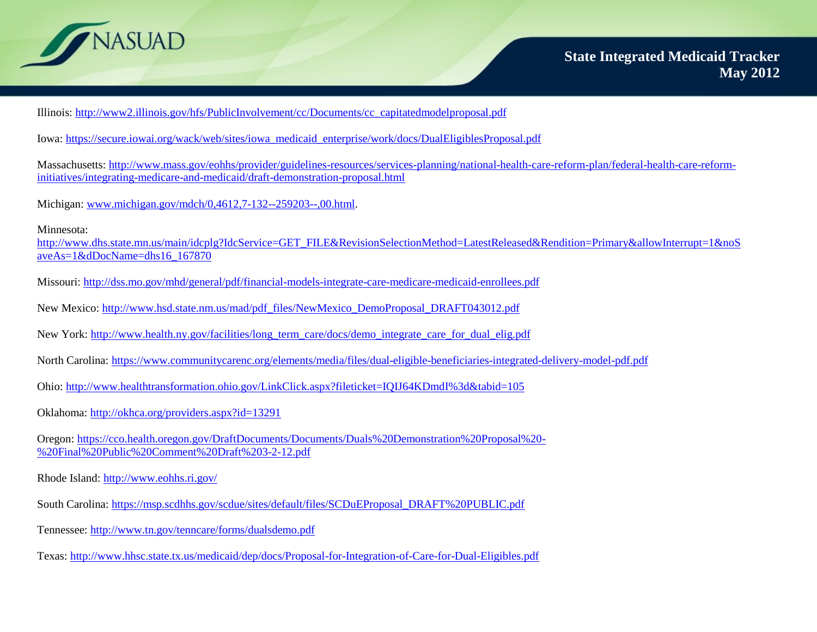

Illinois: [http://www2.illinois.gov/hfs/PublicInvolvement/cc/Documents/cc\\_capitatedmodelproposal.pdf](http://www2.illinois.gov/hfs/PublicInvolvement/cc/Documents/cc_capitatedmodelproposal.pdf)

Iowa: [https://secure.iowai.org/wack/web/sites/iowa\\_medicaid\\_enterprise/work/docs/DualEligiblesProposal.pdf](https://secure.iowai.org/wack/web/sites/iowa_medicaid_enterprise/work/docs/DualEligiblesProposal.pdf)

Massachusetts: [http://www.mass.gov/eohhs/provider/guidelines-resources/services-planning/national-health-care-reform-plan/federal-health-care-reform](http://www.mass.gov/eohhs/provider/guidelines-resources/services-planning/national-health-care-reform-plan/federal-health-care-reform-initiatives/integrating-medicare-and-medicaid/draft-demonstration-proposal.html)[initiatives/integrating-medicare-and-medicaid/draft-demonstration-proposal.html](http://www.mass.gov/eohhs/provider/guidelines-resources/services-planning/national-health-care-reform-plan/federal-health-care-reform-initiatives/integrating-medicare-and-medicaid/draft-demonstration-proposal.html)

Michigan: [www.michigan.gov/mdch/0,4612,7-132--259203--,00.html.](http://www.michigan.gov/mdch/0,4612,7-132--259203--,00.html) 

Minnesota:

[http://www.dhs.state.mn.us/main/idcplg?IdcService=GET\\_FILE&RevisionSelectionMethod=LatestReleased&Rendition=Primary&allowInterrupt=1&noS](http://www.dhs.state.mn.us/main/idcplg?IdcService=GET_FILE&RevisionSelectionMethod=LatestReleased&Rendition=Primary&allowInterrupt=1&noSaveAs=1&dDocName=dhs16_167870) [aveAs=1&dDocName=dhs16\\_167870](http://www.dhs.state.mn.us/main/idcplg?IdcService=GET_FILE&RevisionSelectionMethod=LatestReleased&Rendition=Primary&allowInterrupt=1&noSaveAs=1&dDocName=dhs16_167870)

- Missouri:<http://dss.mo.gov/mhd/general/pdf/financial-models-integrate-care-medicare-medicaid-enrollees.pdf>
- New Mexico: [http://www.hsd.state.nm.us/mad/pdf\\_files/NewMexico\\_DemoProposal\\_DRAFT043012.pdf](http://www.hsd.state.nm.us/mad/pdf_files/NewMexico_DemoProposal_DRAFT043012.pdf)
- New York: [http://www.health.ny.gov/facilities/long\\_term\\_care/docs/demo\\_integrate\\_care\\_for\\_dual\\_elig.pdf](http://www.health.ny.gov/facilities/long_term_care/docs/demo_integrate_care_for_dual_elig.pdf)
- North Carolina:<https://www.communitycarenc.org/elements/media/files/dual-eligible-beneficiaries-integrated-delivery-model-pdf.pdf>
- Ohio:<http://www.healthtransformation.ohio.gov/LinkClick.aspx?fileticket=IQIJ64KDmdI%3d&tabid=105>
- Oklahoma:<http://okhca.org/providers.aspx?id=13291>
- Oregon: [https://cco.health.oregon.gov/DraftDocuments/Documents/Duals%20Demonstration%20Proposal%20-](https://cco.health.oregon.gov/DraftDocuments/Documents/Duals%20Demonstration%20Proposal%20-%20Final%20Public%20Comment%20Draft%203-2-12.pdf) [%20Final%20Public%20Comment%20Draft%203-2-12.pdf](https://cco.health.oregon.gov/DraftDocuments/Documents/Duals%20Demonstration%20Proposal%20-%20Final%20Public%20Comment%20Draft%203-2-12.pdf)
- Rhode Island:<http://www.eohhs.ri.gov/>
- South Carolina: [https://msp.scdhhs.gov/scdue/sites/default/files/SCDuEProposal\\_DRAFT%20PUBLIC.pdf](https://msp.scdhhs.gov/scdue/sites/default/files/SCDuEProposal_DRAFT%20PUBLIC.pdf)
- Tennessee:<http://www.tn.gov/tenncare/forms/dualsdemo.pdf>
- Texas:<http://www.hhsc.state.tx.us/medicaid/dep/docs/Proposal-for-Integration-of-Care-for-Dual-Eligibles.pdf>